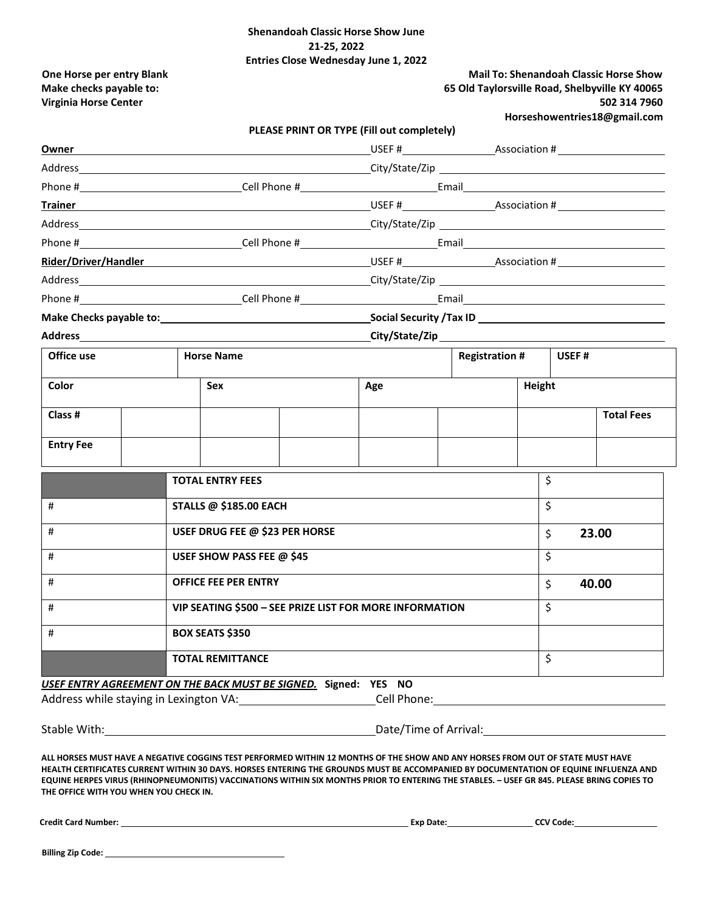## **Shenandoah Classic Horse Show June 21-25, 2022 Entries Close Wednesday June 1, 2022**

**Virginia Horse Center 502 314 7960**

## **One Horse per entry Blank Mail To: Shenandoah Classic Horse Show Make checks payable to: 65 Old Taylorsville Road, Shelbyville KY 40065**

**[Horseshowentries18@gmail.com](mailto:Horseshowentries18@gmail.com)**

| PLEASE PRINT OR TYPE (Fill out completely) |  |
|--------------------------------------------|--|
|--------------------------------------------|--|

| Owner                                                                                                                                                                                                                         |  |                                      |  |
|-------------------------------------------------------------------------------------------------------------------------------------------------------------------------------------------------------------------------------|--|--------------------------------------|--|
|                                                                                                                                                                                                                               |  |                                      |  |
|                                                                                                                                                                                                                               |  |                                      |  |
| <b>Trainer</b>                                                                                                                                                                                                                |  |                                      |  |
|                                                                                                                                                                                                                               |  |                                      |  |
|                                                                                                                                                                                                                               |  |                                      |  |
| Rider/Driver/Handler                                                                                                                                                                                                          |  |                                      |  |
| Address and the control of the control of the control of the control of the control of the control of the control of the control of the control of the control of the control of the control of the control of the control of |  |                                      |  |
|                                                                                                                                                                                                                               |  |                                      |  |
|                                                                                                                                                                                                                               |  | Social Security / Tax ID ___________ |  |

**Address City/State/Zip**

| Office use       |  | <b>Horse Name</b> |     | <b>Registration #</b> |        | USEF# |                   |
|------------------|--|-------------------|-----|-----------------------|--------|-------|-------------------|
| Color            |  | Sex               | Age |                       | Height |       |                   |
| Class #          |  |                   |     |                       |        |       | <b>Total Fees</b> |
| <b>Entry Fee</b> |  |                   |     |                       |        |       |                   |

|   | <b>TOTAL ENTRY FEES</b>                                 | \$          |
|---|---------------------------------------------------------|-------------|
| # | <b>STALLS @ \$185.00 EACH</b>                           | \$          |
| # | USEF DRUG FEE @ \$23 PER HORSE                          | \$<br>23.00 |
| # | USEF SHOW PASS FEE @ \$45                               | \$          |
| # | <b>OFFICE FEE PER ENTRY</b>                             | \$<br>40.00 |
| # | VIP SEATING \$500 - SEE PRIZE LIST FOR MORE INFORMATION | \$          |
| # | <b>BOX SEATS \$350</b>                                  |             |
|   | <b>TOTAL REMITTANCE</b>                                 | \$          |

*USEF ENTRY AGREEMENT ON THE BACK MUST BE SIGNED.* **Signed: YES NO**

Address while staying in Lexington VA: Call Phone: Cell Phone: Cell Phone: Cell Phone: CELL Phone: CELL Phone: CELL Phone: CELL Phone: CELL Phone: CELL Phone: CELL Phone: CELL Phone: CELL Phone: CELL Phone: CELL Phone: CEL

Stable With: Stable With: Stable With: Date/Time of Arrival:

**ALL HORSES MUST HAVE A NEGATIVE COGGINS TEST PERFORMED WITHIN 12 MONTHS OF THE SHOW AND ANY HORSES FROM OUT OF STATE MUST HAVE HEALTH CERTIFICATES CURRENT WITHIN 30 DAYS. HORSES ENTERING THE GROUNDS MUST BE ACCOMPANIED BY DOCUMENTATION OF EQUINE INFLUENZA AND EQUINE HERPES VIRUS (RHINOPNEUMONITIS) VACCINATIONS WITHIN SIX MONTHS PRIOR TO ENTERING THE STABLES. – USEF GR 845. PLEASE BRING COPIES TO THE OFFICE WITH YOU WHEN YOU CHECK IN.**

 **Credit Card Number: Exp Date: CCV Code:** 

 **Billing Zip Code:**